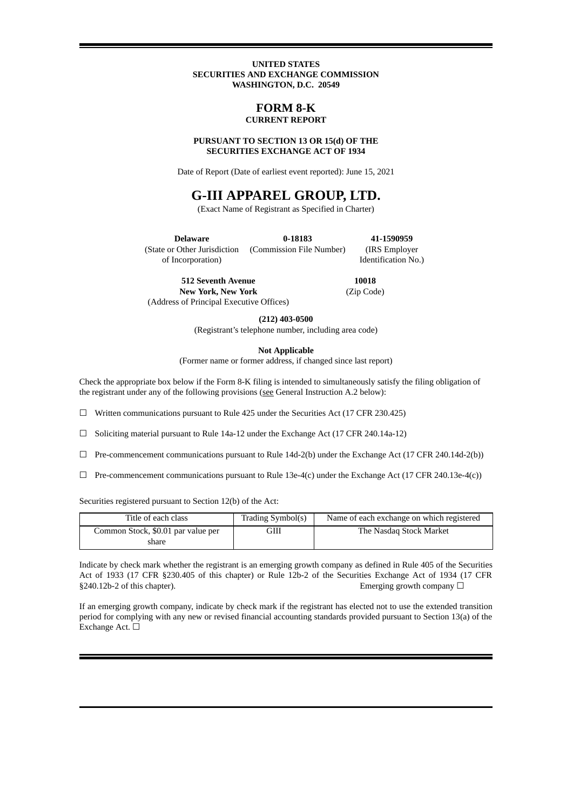#### **UNITED STATES SECURITIES AND EXCHANGE COMMISSION WASHINGTON, D.C. 20549**

## **FORM 8-K CURRENT REPORT**

#### **PURSUANT TO SECTION 13 OR 15(d) OF THE SECURITIES EXCHANGE ACT OF 1934**

Date of Report (Date of earliest event reported): June 15, 2021

# **G-III APPAREL GROUP, LTD.**

(Exact Name of Registrant as Specified in Charter)

**Delaware** (State or Other Jurisdiction of Incorporation) **0-18183** (Commission File Number) Identification No.)

**512 Seventh Avenue New York, New York** (Address of Principal Executive Offices)

**10018** (Zip Code)

**41-1590959** (IRS Employer

**(212) 403-0500**

(Registrant's telephone number, including area code)

**Not Applicable**

(Former name or former address, if changed since last report)

Check the appropriate box below if the Form 8-K filing is intended to simultaneously satisfy the filing obligation of the registrant under any of the following provisions (see General Instruction A.2 below):

☐ Written communications pursuant to Rule 425 under the Securities Act (17 CFR 230.425)

☐ Soliciting material pursuant to Rule 14a-12 under the Exchange Act (17 CFR 240.14a-12)

 $\Box$  Pre-commencement communications pursuant to Rule 14d-2(b) under the Exchange Act (17 CFR 240.14d-2(b))

 $\Box$  Pre-commencement communications pursuant to Rule 13e-4(c) under the Exchange Act (17 CFR 240.13e-4(c))

Securities registered pursuant to Section 12(b) of the Act:

| Title of each class                | Trading Symbol(s) | Name of each exchange on which registered |
|------------------------------------|-------------------|-------------------------------------------|
| Common Stock, \$0.01 par value per | ЭШ                | The Nasdag Stock Market                   |
| share                              |                   |                                           |

Indicate by check mark whether the registrant is an emerging growth company as defined in Rule 405 of the Securities Act of 1933 (17 CFR §230.405 of this chapter) or Rule 12b-2 of the Securities Exchange Act of 1934 (17 CFR  $§240.12b-2$  of this chapter). Emerging growth company  $□$ 

If an emerging growth company, indicate by check mark if the registrant has elected not to use the extended transition period for complying with any new or revised financial accounting standards provided pursuant to Section 13(a) of the Exchange Act.  $□$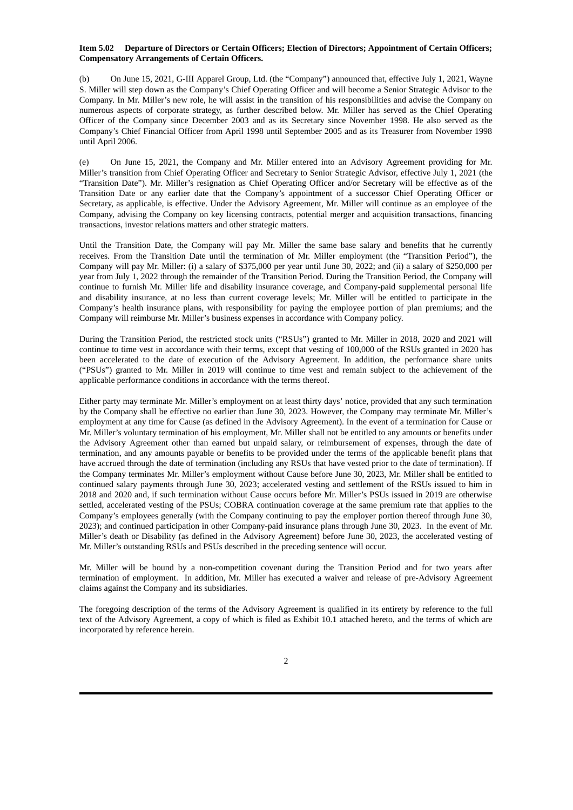#### **Item 5.02 Departure of Directors or Certain Officers; Election of Directors; Appointment of Certain Officers; Compensatory Arrangements of Certain Officers.**

(b) On June 15, 2021, G-III Apparel Group, Ltd. (the "Company") announced that, effective July 1, 2021, Wayne S. Miller will step down as the Company's Chief Operating Officer and will become a Senior Strategic Advisor to the Company. In Mr. Miller's new role, he will assist in the transition of his responsibilities and advise the Company on numerous aspects of corporate strategy, as further described below. Mr. Miller has served as the Chief Operating Officer of the Company since December 2003 and as its Secretary since November 1998. He also served as the Company's Chief Financial Officer from April 1998 until September 2005 and as its Treasurer from November 1998 until April 2006.

(e) On June 15, 2021, the Company and Mr. Miller entered into an Advisory Agreement providing for Mr. Miller's transition from Chief Operating Officer and Secretary to Senior Strategic Advisor, effective July 1, 2021 (the "Transition Date"). Mr. Miller's resignation as Chief Operating Officer and/or Secretary will be effective as of the Transition Date or any earlier date that the Company's appointment of a successor Chief Operating Officer or Secretary, as applicable, is effective. Under the Advisory Agreement, Mr. Miller will continue as an employee of the Company, advising the Company on key licensing contracts, potential merger and acquisition transactions, financing transactions, investor relations matters and other strategic matters.

Until the Transition Date, the Company will pay Mr. Miller the same base salary and benefits that he currently receives. From the Transition Date until the termination of Mr. Miller employment (the "Transition Period"), the Company will pay Mr. Miller: (i) a salary of \$375,000 per year until June 30, 2022; and (ii) a salary of \$250,000 per year from July 1, 2022 through the remainder of the Transition Period. During the Transition Period, the Company will continue to furnish Mr. Miller life and disability insurance coverage, and Company-paid supplemental personal life and disability insurance, at no less than current coverage levels; Mr. Miller will be entitled to participate in the Company's health insurance plans, with responsibility for paying the employee portion of plan premiums; and the Company will reimburse Mr. Miller's business expenses in accordance with Company policy.

During the Transition Period, the restricted stock units ("RSUs") granted to Mr. Miller in 2018, 2020 and 2021 will continue to time vest in accordance with their terms, except that vesting of 100,000 of the RSUs granted in 2020 has been accelerated to the date of execution of the Advisory Agreement. In addition, the performance share units ("PSUs") granted to Mr. Miller in 2019 will continue to time vest and remain subject to the achievement of the applicable performance conditions in accordance with the terms thereof.

Either party may terminate Mr. Miller's employment on at least thirty days' notice, provided that any such termination by the Company shall be effective no earlier than June 30, 2023. However, the Company may terminate Mr. Miller's employment at any time for Cause (as defined in the Advisory Agreement). In the event of a termination for Cause or Mr. Miller's voluntary termination of his employment, Mr. Miller shall not be entitled to any amounts or benefits under the Advisory Agreement other than earned but unpaid salary, or reimbursement of expenses, through the date of termination, and any amounts payable or benefits to be provided under the terms of the applicable benefit plans that have accrued through the date of termination (including any RSUs that have vested prior to the date of termination). If the Company terminates Mr. Miller's employment without Cause before June 30, 2023, Mr. Miller shall be entitled to continued salary payments through June 30, 2023; accelerated vesting and settlement of the RSUs issued to him in 2018 and 2020 and, if such termination without Cause occurs before Mr. Miller's PSUs issued in 2019 are otherwise settled, accelerated vesting of the PSUs; COBRA continuation coverage at the same premium rate that applies to the Company's employees generally (with the Company continuing to pay the employer portion thereof through June 30, 2023); and continued participation in other Company-paid insurance plans through June 30, 2023. In the event of Mr. Miller's death or Disability (as defined in the Advisory Agreement) before June 30, 2023, the accelerated vesting of Mr. Miller's outstanding RSUs and PSUs described in the preceding sentence will occur.

Mr. Miller will be bound by a non-competition covenant during the Transition Period and for two years after termination of employment. In addition, Mr. Miller has executed a waiver and release of pre-Advisory Agreement claims against the Company and its subsidiaries.

The foregoing description of the terms of the Advisory Agreement is qualified in its entirety by reference to the full text of the Advisory Agreement, a copy of which is filed as Exhibit 10.1 attached hereto, and the terms of which are incorporated by reference herein.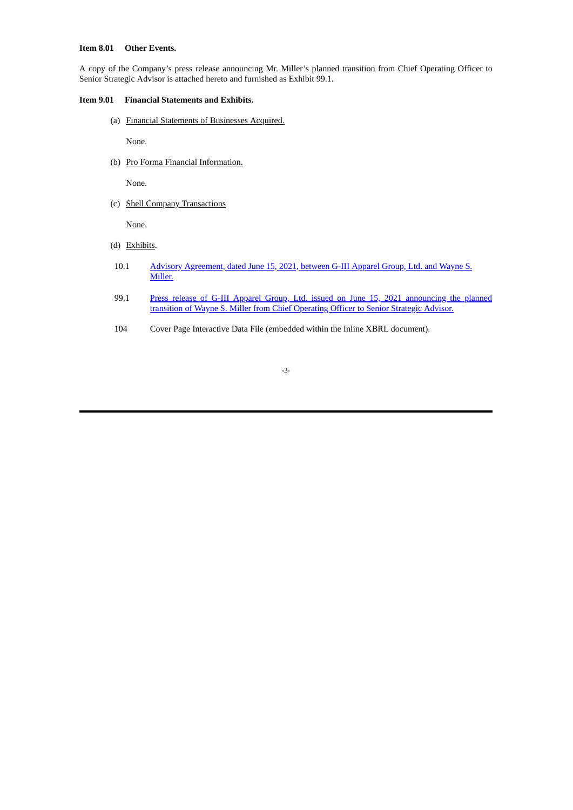#### **Item 8.01 Other Events.**

A copy of the Company's press release announcing Mr. Miller's planned transition from Chief Operating Officer to Senior Strategic Advisor is attached hereto and furnished as Exhibit 99.1.

#### **Item 9.01 Financial Statements and Exhibits.**

(a) Financial Statements of Businesses Acquired.

None.

(b) Pro Forma Financial Information.

None.

(c) Shell Company Transactions

None.

- (d) Exhibits.
- 10.1 Advisory [Agreement,](#page-5-0) dated June 15, 2021, between G-III Apparel Group, Ltd. and Wayne S. Miller.
- 99.1 Press release of G-III Apparel Group, Ltd. issued on June 15, 2021 [announcing](#page-20-0) the planned transition of Wayne S. Miller from Chief Operating Officer to Senior Strategic Advisor.
- 104 Cover Page Interactive Data File (embedded within the Inline XBRL document).

#### **-**3-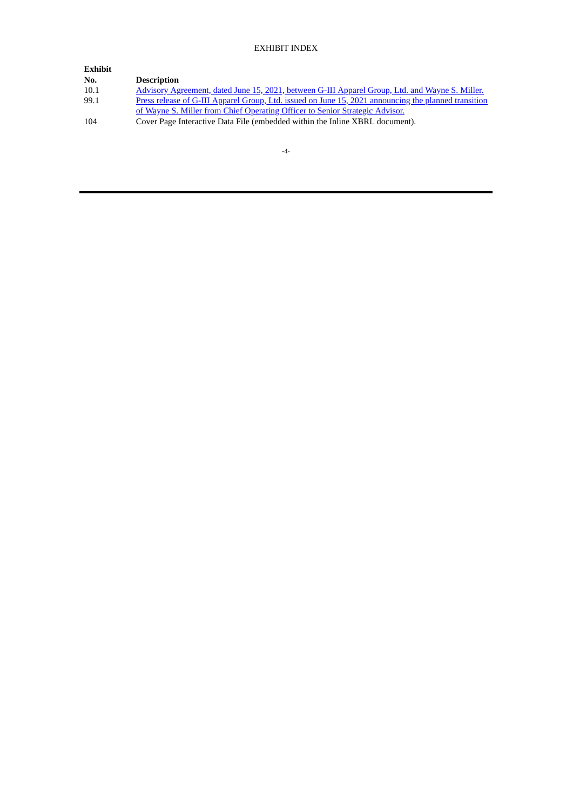# EXHIBIT INDEX

| <b>Exhibit</b> |                                                                                                      |
|----------------|------------------------------------------------------------------------------------------------------|
| No.            | <b>Description</b>                                                                                   |
| 10.1           | Advisory Agreement, dated June 15, 2021, between G-III Apparel Group, Ltd. and Wayne S. Miller.      |
| 99.1           | Press release of G-III Apparel Group, Ltd. issued on June 15, 2021 announcing the planned transition |
|                | of Wayne S. Miller from Chief Operating Officer to Senior Strategic Advisor.                         |
| 104            | Cover Page Interactive Data File (embedded within the Inline XBRL document).                         |
|                |                                                                                                      |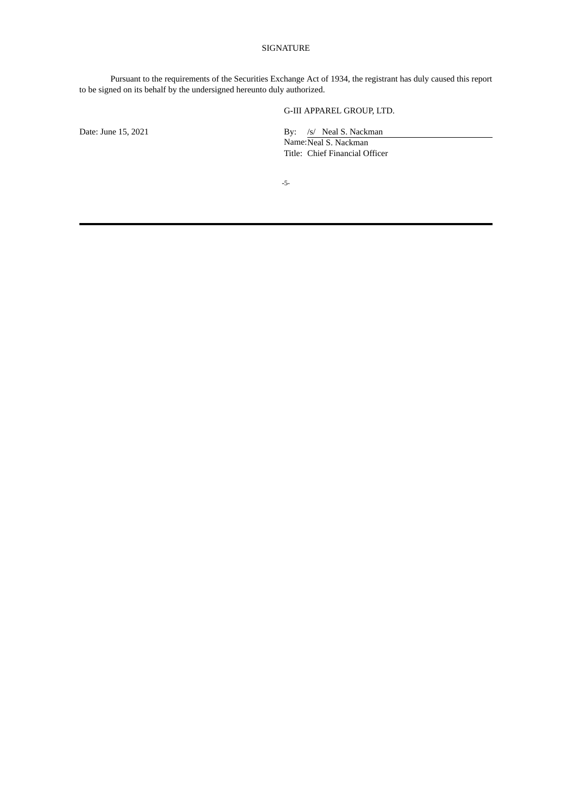#### SIGNATURE

Pursuant to the requirements of the Securities Exchange Act of 1934, the registrant has duly caused this report to be signed on its behalf by the undersigned hereunto duly authorized.

G-III APPAREL GROUP, LTD.

Date: June 15, 2021 **By:** /s/ Neal S. Nackman Name:Neal S. Nackman Title: Chief Financial Officer

**-**5-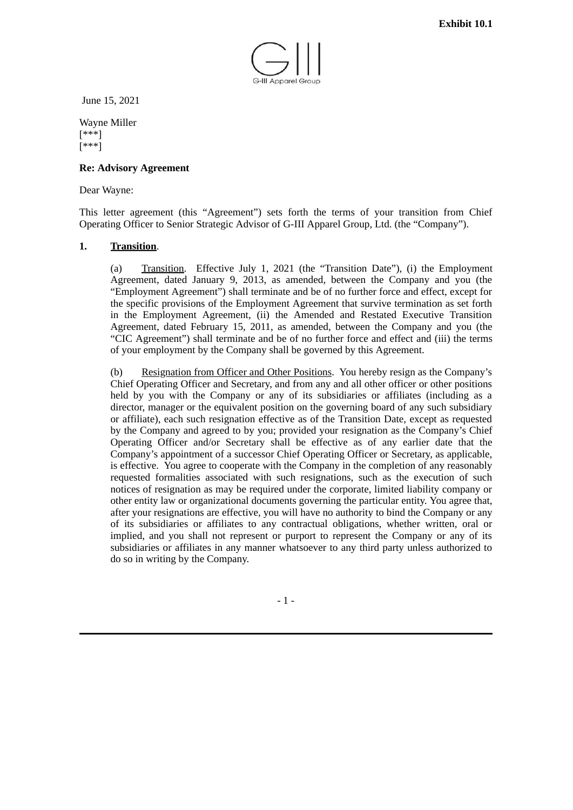

<span id="page-5-0"></span>June 15, 2021

Wayne Miller [\*\*\*] [\*\*\*]

## **Re: Advisory Agreement**

## Dear Wayne:

This letter agreement (this "Agreement") sets forth the terms of your transition from Chief Operating Officer to Senior Strategic Advisor of G-III Apparel Group, Ltd. (the "Company").

## **1. Transition**.

(a) Transition. Effective July 1, 2021 (the "Transition Date"), (i) the Employment Agreement, dated January 9, 2013, as amended, between the Company and you (the "Employment Agreement") shall terminate and be of no further force and effect, except for the specific provisions of the Employment Agreement that survive termination as set forth in the Employment Agreement, (ii) the Amended and Restated Executive Transition Agreement, dated February 15, 2011, as amended, between the Company and you (the "CIC Agreement") shall terminate and be of no further force and effect and (iii) the terms of your employment by the Company shall be governed by this Agreement.

(b) Resignation from Officer and Other Positions. You hereby resign as the Company's Chief Operating Officer and Secretary, and from any and all other officer or other positions held by you with the Company or any of its subsidiaries or affiliates (including as a director, manager or the equivalent position on the governing board of any such subsidiary or affiliate), each such resignation effective as of the Transition Date, except as requested by the Company and agreed to by you; provided your resignation as the Company's Chief Operating Officer and/or Secretary shall be effective as of any earlier date that the Company's appointment of a successor Chief Operating Officer or Secretary, as applicable, is effective. You agree to cooperate with the Company in the completion of any reasonably requested formalities associated with such resignations, such as the execution of such notices of resignation as may be required under the corporate, limited liability company or other entity law or organizational documents governing the particular entity. You agree that, after your resignations are effective, you will have no authority to bind the Company or any of its subsidiaries or affiliates to any contractual obligations, whether written, oral or implied, and you shall not represent or purport to represent the Company or any of its subsidiaries or affiliates in any manner whatsoever to any third party unless authorized to do so in writing by the Company.

- 1 -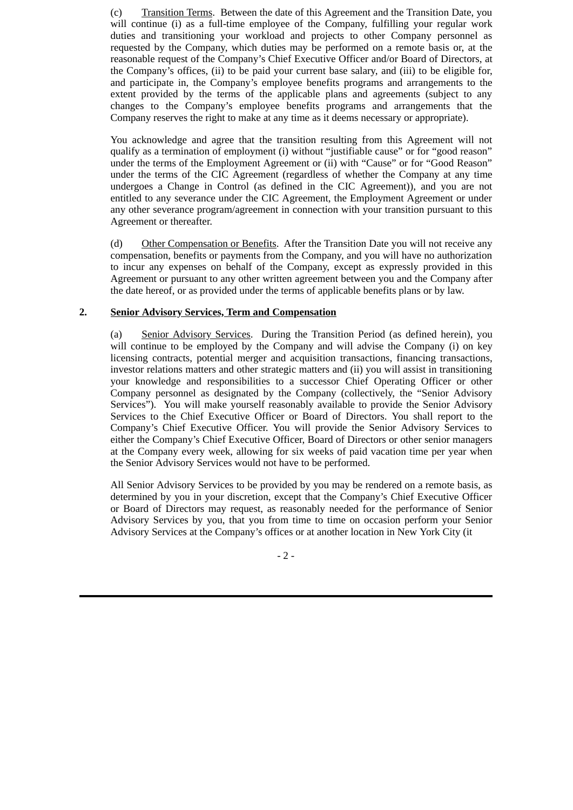(c) Transition Terms. Between the date of this Agreement and the Transition Date, you will continue (i) as a full-time employee of the Company, fulfilling your regular work duties and transitioning your workload and projects to other Company personnel as requested by the Company, which duties may be performed on a remote basis or, at the reasonable request of the Company's Chief Executive Officer and/or Board of Directors, at the Company's offices, (ii) to be paid your current base salary, and (iii) to be eligible for, and participate in, the Company's employee benefits programs and arrangements to the extent provided by the terms of the applicable plans and agreements (subject to any changes to the Company's employee benefits programs and arrangements that the Company reserves the right to make at any time as it deems necessary or appropriate).

You acknowledge and agree that the transition resulting from this Agreement will not qualify as a termination of employment (i) without "justifiable cause" or for "good reason" under the terms of the Employment Agreement or (ii) with "Cause" or for "Good Reason" under the terms of the CIC Agreement (regardless of whether the Company at any time undergoes a Change in Control (as defined in the CIC Agreement)), and you are not entitled to any severance under the CIC Agreement, the Employment Agreement or under any other severance program/agreement in connection with your transition pursuant to this Agreement or thereafter.

(d) Other Compensation or Benefits. After the Transition Date you will not receive any compensation, benefits or payments from the Company, and you will have no authorization to incur any expenses on behalf of the Company, except as expressly provided in this Agreement or pursuant to any other written agreement between you and the Company after the date hereof, or as provided under the terms of applicable benefits plans or by law.

# **2. Senior Advisory Services, Term and Compensation**

(a) Senior Advisory Services. During the Transition Period (as defined herein), you will continue to be employed by the Company and will advise the Company (i) on key licensing contracts, potential merger and acquisition transactions, financing transactions, investor relations matters and other strategic matters and (ii) you will assist in transitioning your knowledge and responsibilities to a successor Chief Operating Officer or other Company personnel as designated by the Company (collectively, the "Senior Advisory Services"). You will make yourself reasonably available to provide the Senior Advisory Services to the Chief Executive Officer or Board of Directors. You shall report to the Company's Chief Executive Officer. You will provide the Senior Advisory Services to either the Company's Chief Executive Officer, Board of Directors or other senior managers at the Company every week, allowing for six weeks of paid vacation time per year when the Senior Advisory Services would not have to be performed.

All Senior Advisory Services to be provided by you may be rendered on a remote basis, as determined by you in your discretion, except that the Company's Chief Executive Officer or Board of Directors may request, as reasonably needed for the performance of Senior Advisory Services by you, that you from time to time on occasion perform your Senior Advisory Services at the Company's offices or at another location in New York City (it

 $-2-$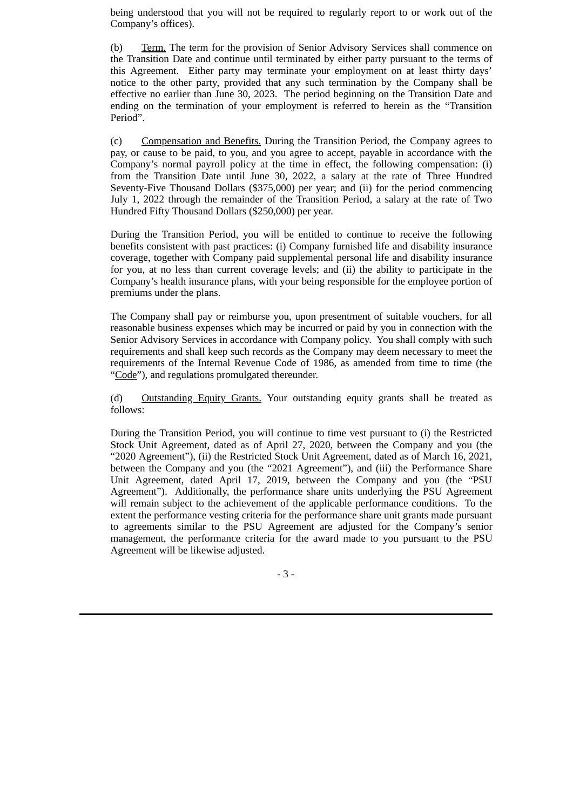being understood that you will not be required to regularly report to or work out of the Company's offices).

(b) Term. The term for the provision of Senior Advisory Services shall commence on the Transition Date and continue until terminated by either party pursuant to the terms of this Agreement. Either party may terminate your employment on at least thirty days' notice to the other party, provided that any such termination by the Company shall be effective no earlier than June 30, 2023. The period beginning on the Transition Date and ending on the termination of your employment is referred to herein as the "Transition Period".

(c) Compensation and Benefits. During the Transition Period, the Company agrees to pay, or cause to be paid, to you, and you agree to accept, payable in accordance with the Company's normal payroll policy at the time in effect, the following compensation: (i) from the Transition Date until June 30, 2022, a salary at the rate of Three Hundred Seventy-Five Thousand Dollars (\$375,000) per year; and (ii) for the period commencing July 1, 2022 through the remainder of the Transition Period, a salary at the rate of Two Hundred Fifty Thousand Dollars (\$250,000) per year.

During the Transition Period, you will be entitled to continue to receive the following benefits consistent with past practices: (i) Company furnished life and disability insurance coverage, together with Company paid supplemental personal life and disability insurance for you, at no less than current coverage levels; and (ii) the ability to participate in the Company's health insurance plans, with your being responsible for the employee portion of premiums under the plans.

The Company shall pay or reimburse you, upon presentment of suitable vouchers, for all reasonable business expenses which may be incurred or paid by you in connection with the Senior Advisory Services in accordance with Company policy. You shall comply with such requirements and shall keep such records as the Company may deem necessary to meet the requirements of the Internal Revenue Code of 1986, as amended from time to time (the "Code"), and regulations promulgated thereunder.

(d) Outstanding Equity Grants. Your outstanding equity grants shall be treated as follows:

During the Transition Period, you will continue to time vest pursuant to (i) the Restricted Stock Unit Agreement, dated as of April 27, 2020, between the Company and you (the "2020 Agreement"), (ii) the Restricted Stock Unit Agreement, dated as of March 16, 2021, between the Company and you (the "2021 Agreement"), and (iii) the Performance Share Unit Agreement, dated April 17, 2019, between the Company and you (the "PSU Agreement"). Additionally, the performance share units underlying the PSU Agreement will remain subject to the achievement of the applicable performance conditions. To the extent the performance vesting criteria for the performance share unit grants made pursuant to agreements similar to the PSU Agreement are adjusted for the Company's senior management, the performance criteria for the award made to you pursuant to the PSU Agreement will be likewise adjusted.

- 3 -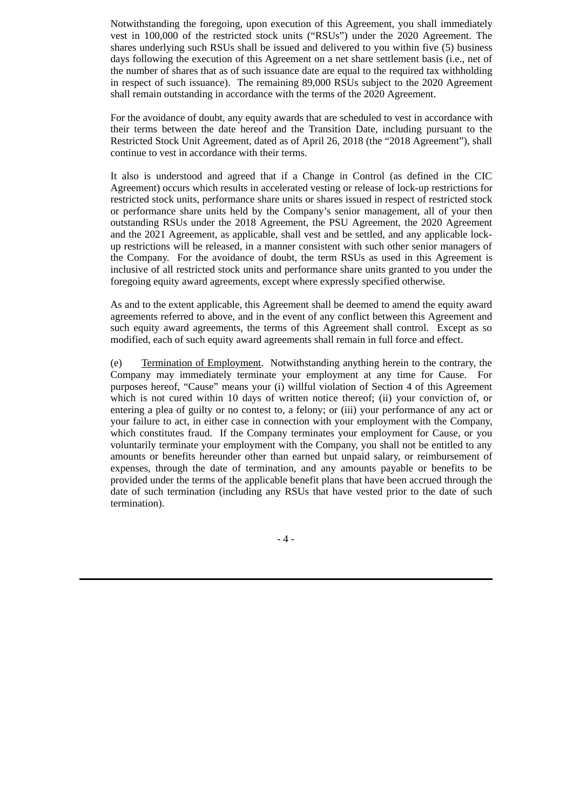Notwithstanding the foregoing, upon execution of this Agreement, you shall immediately vest in 100,000 of the restricted stock units ("RSUs") under the 2020 Agreement. The shares underlying such RSUs shall be issued and delivered to you within five (5) business days following the execution of this Agreement on a net share settlement basis (i.e., net of the number of shares that as of such issuance date are equal to the required tax withholding in respect of such issuance). The remaining 89,000 RSUs subject to the 2020 Agreement shall remain outstanding in accordance with the terms of the 2020 Agreement.

For the avoidance of doubt, any equity awards that are scheduled to vest in accordance with their terms between the date hereof and the Transition Date, including pursuant to the Restricted Stock Unit Agreement, dated as of April 26, 2018 (the "2018 Agreement"), shall continue to vest in accordance with their terms.

It also is understood and agreed that if a Change in Control (as defined in the CIC Agreement) occurs which results in accelerated vesting or release of lock-up restrictions for restricted stock units, performance share units or shares issued in respect of restricted stock or performance share units held by the Company's senior management, all of your then outstanding RSUs under the 2018 Agreement, the PSU Agreement, the 2020 Agreement and the 2021 Agreement, as applicable, shall vest and be settled, and any applicable lockup restrictions will be released, in a manner consistent with such other senior managers of the Company. For the avoidance of doubt, the term RSUs as used in this Agreement is inclusive of all restricted stock units and performance share units granted to you under the foregoing equity award agreements, except where expressly specified otherwise.

As and to the extent applicable, this Agreement shall be deemed to amend the equity award agreements referred to above, and in the event of any conflict between this Agreement and such equity award agreements, the terms of this Agreement shall control. Except as so modified, each of such equity award agreements shall remain in full force and effect.

(e) Termination of Employment. Notwithstanding anything herein to the contrary, the Company may immediately terminate your employment at any time for Cause. For purposes hereof, "Cause" means your (i) willful violation of Section 4 of this Agreement which is not cured within 10 days of written notice thereof; (ii) your conviction of, or entering a plea of guilty or no contest to, a felony; or (iii) your performance of any act or your failure to act, in either case in connection with your employment with the Company, which constitutes fraud. If the Company terminates your employment for Cause, or you voluntarily terminate your employment with the Company, you shall not be entitled to any amounts or benefits hereunder other than earned but unpaid salary, or reimbursement of expenses, through the date of termination, and any amounts payable or benefits to be provided under the terms of the applicable benefit plans that have been accrued through the date of such termination (including any RSUs that have vested prior to the date of such termination).

- 4 -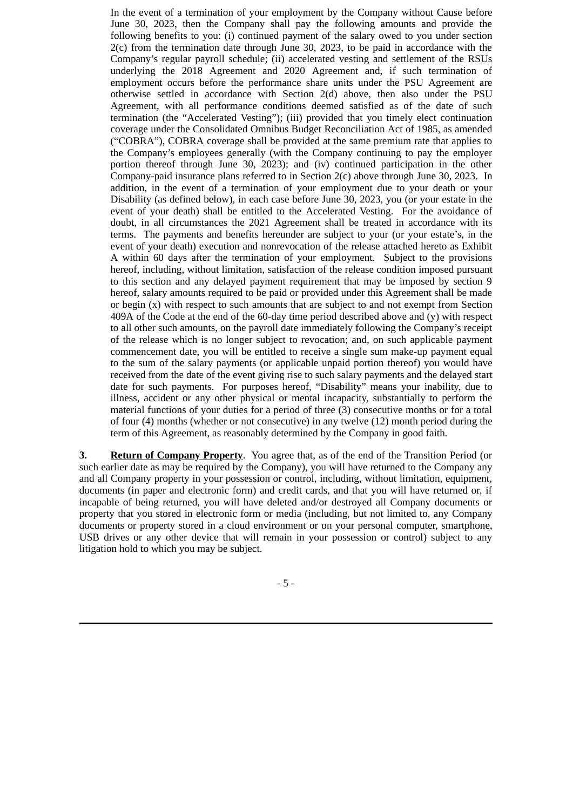In the event of a termination of your employment by the Company without Cause before June 30, 2023, then the Company shall pay the following amounts and provide the following benefits to you: (i) continued payment of the salary owed to you under section 2(c) from the termination date through June 30, 2023, to be paid in accordance with the Company's regular payroll schedule; (ii) accelerated vesting and settlement of the RSUs underlying the 2018 Agreement and 2020 Agreement and, if such termination of employment occurs before the performance share units under the PSU Agreement are otherwise settled in accordance with Section 2(d) above, then also under the PSU Agreement, with all performance conditions deemed satisfied as of the date of such termination (the "Accelerated Vesting"); (iii) provided that you timely elect continuation coverage under the Consolidated Omnibus Budget Reconciliation Act of 1985, as amended ("COBRA"), COBRA coverage shall be provided at the same premium rate that applies to the Company's employees generally (with the Company continuing to pay the employer portion thereof through June 30, 2023); and (iv) continued participation in the other Company-paid insurance plans referred to in Section 2(c) above through June 30, 2023. In addition, in the event of a termination of your employment due to your death or your Disability (as defined below), in each case before June 30, 2023, you (or your estate in the event of your death) shall be entitled to the Accelerated Vesting. For the avoidance of doubt, in all circumstances the 2021 Agreement shall be treated in accordance with its terms. The payments and benefits hereunder are subject to your (or your estate's, in the event of your death) execution and nonrevocation of the release attached hereto as Exhibit A within 60 days after the termination of your employment. Subject to the provisions hereof, including, without limitation, satisfaction of the release condition imposed pursuant to this section and any delayed payment requirement that may be imposed by section 9 hereof, salary amounts required to be paid or provided under this Agreement shall be made or begin (x) with respect to such amounts that are subject to and not exempt from Section 409A of the Code at the end of the 60-day time period described above and (y) with respect to all other such amounts, on the payroll date immediately following the Company's receipt of the release which is no longer subject to revocation; and, on such applicable payment commencement date, you will be entitled to receive a single sum make-up payment equal to the sum of the salary payments (or applicable unpaid portion thereof) you would have received from the date of the event giving rise to such salary payments and the delayed start date for such payments. For purposes hereof, "Disability" means your inability, due to illness, accident or any other physical or mental incapacity, substantially to perform the material functions of your duties for a period of three (3) consecutive months or for a total of four (4) months (whether or not consecutive) in any twelve (12) month period during the term of this Agreement, as reasonably determined by the Company in good faith.

**3. Return of Company Property**. You agree that, as of the end of the Transition Period (or such earlier date as may be required by the Company), you will have returned to the Company any and all Company property in your possession or control, including, without limitation, equipment, documents (in paper and electronic form) and credit cards, and that you will have returned or, if incapable of being returned, you will have deleted and/or destroyed all Company documents or property that you stored in electronic form or media (including, but not limited to, any Company documents or property stored in a cloud environment or on your personal computer, smartphone, USB drives or any other device that will remain in your possession or control) subject to any litigation hold to which you may be subject.

- 5 -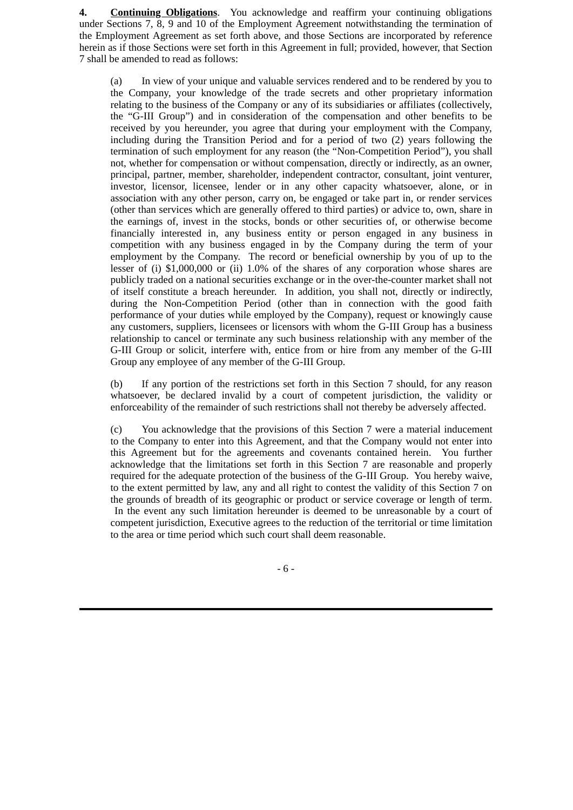**4. Continuing Obligations**. You acknowledge and reaffirm your continuing obligations under Sections 7, 8, 9 and 10 of the Employment Agreement notwithstanding the termination of the Employment Agreement as set forth above, and those Sections are incorporated by reference herein as if those Sections were set forth in this Agreement in full; provided, however, that Section 7 shall be amended to read as follows:

(a) In view of your unique and valuable services rendered and to be rendered by you to the Company, your knowledge of the trade secrets and other proprietary information relating to the business of the Company or any of its subsidiaries or affiliates (collectively, the "G-III Group") and in consideration of the compensation and other benefits to be received by you hereunder, you agree that during your employment with the Company, including during the Transition Period and for a period of two (2) years following the termination of such employment for any reason (the "Non-Competition Period"), you shall not, whether for compensation or without compensation, directly or indirectly, as an owner, principal, partner, member, shareholder, independent contractor, consultant, joint venturer, investor, licensor, licensee, lender or in any other capacity whatsoever, alone, or in association with any other person, carry on, be engaged or take part in, or render services (other than services which are generally offered to third parties) or advice to, own, share in the earnings of, invest in the stocks, bonds or other securities of, or otherwise become financially interested in, any business entity or person engaged in any business in competition with any business engaged in by the Company during the term of your employment by the Company. The record or beneficial ownership by you of up to the lesser of (i) \$1,000,000 or (ii) 1.0% of the shares of any corporation whose shares are publicly traded on a national securities exchange or in the over-the-counter market shall not of itself constitute a breach hereunder. In addition, you shall not, directly or indirectly, during the Non-Competition Period (other than in connection with the good faith performance of your duties while employed by the Company), request or knowingly cause any customers, suppliers, licensees or licensors with whom the G-III Group has a business relationship to cancel or terminate any such business relationship with any member of the G-III Group or solicit, interfere with, entice from or hire from any member of the G-III Group any employee of any member of the G-III Group.

(b) If any portion of the restrictions set forth in this Section 7 should, for any reason whatsoever, be declared invalid by a court of competent jurisdiction, the validity or enforceability of the remainder of such restrictions shall not thereby be adversely affected.

(c) You acknowledge that the provisions of this Section 7 were a material inducement to the Company to enter into this Agreement, and that the Company would not enter into this Agreement but for the agreements and covenants contained herein. You further acknowledge that the limitations set forth in this Section 7 are reasonable and properly required for the adequate protection of the business of the G-III Group. You hereby waive, to the extent permitted by law, any and all right to contest the validity of this Section 7 on the grounds of breadth of its geographic or product or service coverage or length of term. In the event any such limitation hereunder is deemed to be unreasonable by a court of competent jurisdiction, Executive agrees to the reduction of the territorial or time limitation to the area or time period which such court shall deem reasonable.

- 6 -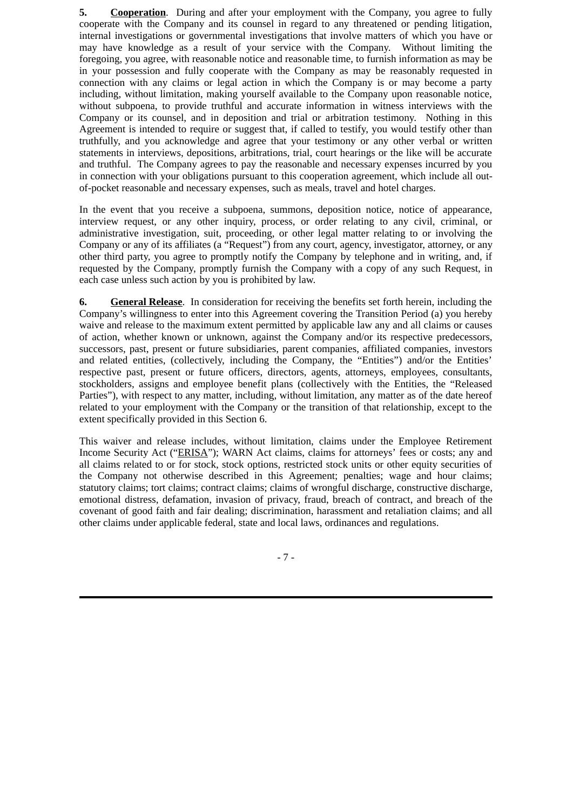**5. Cooperation**. During and after your employment with the Company, you agree to fully cooperate with the Company and its counsel in regard to any threatened or pending litigation, internal investigations or governmental investigations that involve matters of which you have or may have knowledge as a result of your service with the Company. Without limiting the foregoing, you agree, with reasonable notice and reasonable time, to furnish information as may be in your possession and fully cooperate with the Company as may be reasonably requested in connection with any claims or legal action in which the Company is or may become a party including, without limitation, making yourself available to the Company upon reasonable notice, without subpoena, to provide truthful and accurate information in witness interviews with the Company or its counsel, and in deposition and trial or arbitration testimony. Nothing in this Agreement is intended to require or suggest that, if called to testify, you would testify other than truthfully, and you acknowledge and agree that your testimony or any other verbal or written statements in interviews, depositions, arbitrations, trial, court hearings or the like will be accurate and truthful. The Company agrees to pay the reasonable and necessary expenses incurred by you in connection with your obligations pursuant to this cooperation agreement, which include all outof-pocket reasonable and necessary expenses, such as meals, travel and hotel charges.

In the event that you receive a subpoena, summons, deposition notice, notice of appearance, interview request, or any other inquiry, process, or order relating to any civil, criminal, or administrative investigation, suit, proceeding, or other legal matter relating to or involving the Company or any of its affiliates (a "Request") from any court, agency, investigator, attorney, or any other third party, you agree to promptly notify the Company by telephone and in writing, and, if requested by the Company, promptly furnish the Company with a copy of any such Request, in each case unless such action by you is prohibited by law.

**6. General Release**. In consideration for receiving the benefits set forth herein, including the Company's willingness to enter into this Agreement covering the Transition Period (a) you hereby waive and release to the maximum extent permitted by applicable law any and all claims or causes of action, whether known or unknown, against the Company and/or its respective predecessors, successors, past, present or future subsidiaries, parent companies, affiliated companies, investors and related entities, (collectively, including the Company, the "Entities") and/or the Entities' respective past, present or future officers, directors, agents, attorneys, employees, consultants, stockholders, assigns and employee benefit plans (collectively with the Entities, the "Released Parties"), with respect to any matter, including, without limitation, any matter as of the date hereof related to your employment with the Company or the transition of that relationship, except to the extent specifically provided in this Section 6.

This waiver and release includes, without limitation, claims under the Employee Retirement Income Security Act ("ERISA"); WARN Act claims, claims for attorneys' fees or costs; any and all claims related to or for stock, stock options, restricted stock units or other equity securities of the Company not otherwise described in this Agreement; penalties; wage and hour claims; statutory claims; tort claims; contract claims; claims of wrongful discharge, constructive discharge, emotional distress, defamation, invasion of privacy, fraud, breach of contract, and breach of the covenant of good faith and fair dealing; discrimination, harassment and retaliation claims; and all other claims under applicable federal, state and local laws, ordinances and regulations.

- 7 -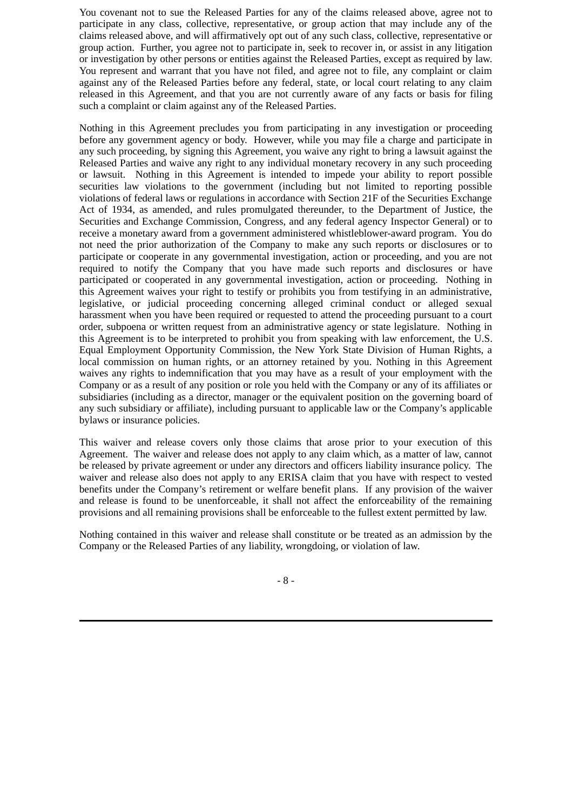You covenant not to sue the Released Parties for any of the claims released above, agree not to participate in any class, collective, representative, or group action that may include any of the claims released above, and will affirmatively opt out of any such class, collective, representative or group action. Further, you agree not to participate in, seek to recover in, or assist in any litigation or investigation by other persons or entities against the Released Parties, except as required by law. You represent and warrant that you have not filed, and agree not to file, any complaint or claim against any of the Released Parties before any federal, state, or local court relating to any claim released in this Agreement, and that you are not currently aware of any facts or basis for filing such a complaint or claim against any of the Released Parties.

Nothing in this Agreement precludes you from participating in any investigation or proceeding before any government agency or body. However, while you may file a charge and participate in any such proceeding, by signing this Agreement, you waive any right to bring a lawsuit against the Released Parties and waive any right to any individual monetary recovery in any such proceeding or lawsuit. Nothing in this Agreement is intended to impede your ability to report possible securities law violations to the government (including but not limited to reporting possible violations of federal laws or regulations in accordance with Section 21F of the Securities Exchange Act of 1934, as amended, and rules promulgated thereunder, to the Department of Justice, the Securities and Exchange Commission, Congress, and any federal agency Inspector General) or to receive a monetary award from a government administered whistleblower-award program. You do not need the prior authorization of the Company to make any such reports or disclosures or to participate or cooperate in any governmental investigation, action or proceeding, and you are not required to notify the Company that you have made such reports and disclosures or have participated or cooperated in any governmental investigation, action or proceeding. Nothing in this Agreement waives your right to testify or prohibits you from testifying in an administrative, legislative, or judicial proceeding concerning alleged criminal conduct or alleged sexual harassment when you have been required or requested to attend the proceeding pursuant to a court order, subpoena or written request from an administrative agency or state legislature. Nothing in this Agreement is to be interpreted to prohibit you from speaking with law enforcement, the U.S. Equal Employment Opportunity Commission, the New York State Division of Human Rights, a local commission on human rights, or an attorney retained by you. Nothing in this Agreement waives any rights to indemnification that you may have as a result of your employment with the Company or as a result of any position or role you held with the Company or any of its affiliates or subsidiaries (including as a director, manager or the equivalent position on the governing board of any such subsidiary or affiliate), including pursuant to applicable law or the Company's applicable bylaws or insurance policies.

This waiver and release covers only those claims that arose prior to your execution of this Agreement. The waiver and release does not apply to any claim which, as a matter of law, cannot be released by private agreement or under any directors and officers liability insurance policy. The waiver and release also does not apply to any ERISA claim that you have with respect to vested benefits under the Company's retirement or welfare benefit plans. If any provision of the waiver and release is found to be unenforceable, it shall not affect the enforceability of the remaining provisions and all remaining provisions shall be enforceable to the fullest extent permitted by law.

Nothing contained in this waiver and release shall constitute or be treated as an admission by the Company or the Released Parties of any liability, wrongdoing, or violation of law.

- 8 -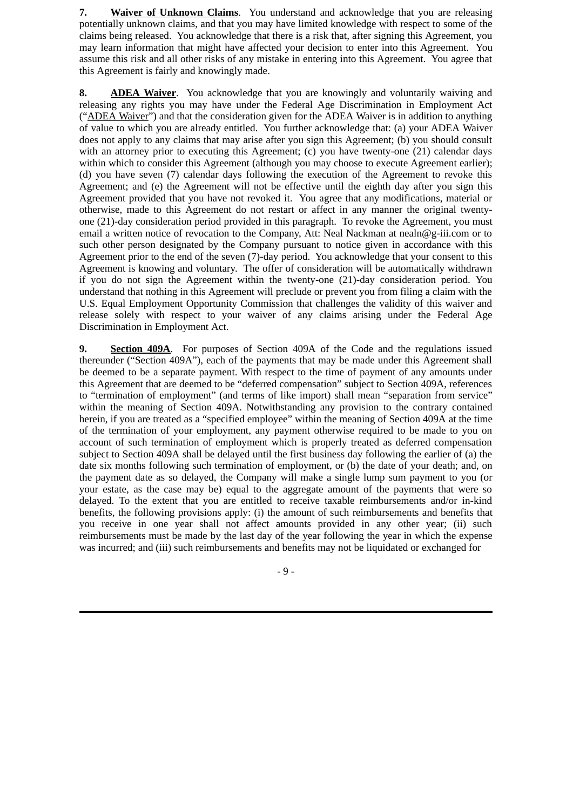**7. Waiver of Unknown Claims**. You understand and acknowledge that you are releasing potentially unknown claims, and that you may have limited knowledge with respect to some of the claims being released. You acknowledge that there is a risk that, after signing this Agreement, you may learn information that might have affected your decision to enter into this Agreement. You assume this risk and all other risks of any mistake in entering into this Agreement. You agree that this Agreement is fairly and knowingly made.

**8. ADEA Waiver**. You acknowledge that you are knowingly and voluntarily waiving and releasing any rights you may have under the Federal Age Discrimination in Employment Act ("ADEA Waiver") and that the consideration given for the ADEA Waiver is in addition to anything of value to which you are already entitled. You further acknowledge that: (a) your ADEA Waiver does not apply to any claims that may arise after you sign this Agreement; (b) you should consult with an attorney prior to executing this Agreement; (c) you have twenty-one (21) calendar days within which to consider this Agreement (although you may choose to execute Agreement earlier); (d) you have seven (7) calendar days following the execution of the Agreement to revoke this Agreement; and (e) the Agreement will not be effective until the eighth day after you sign this Agreement provided that you have not revoked it. You agree that any modifications, material or otherwise, made to this Agreement do not restart or affect in any manner the original twentyone (21)-day consideration period provided in this paragraph. To revoke the Agreement, you must email a written notice of revocation to the Company, Att: Neal Nackman at nealn@g-iii.com or to such other person designated by the Company pursuant to notice given in accordance with this Agreement prior to the end of the seven (7)-day period. You acknowledge that your consent to this Agreement is knowing and voluntary. The offer of consideration will be automatically withdrawn if you do not sign the Agreement within the twenty-one (21)-day consideration period. You understand that nothing in this Agreement will preclude or prevent you from filing a claim with the U.S. Equal Employment Opportunity Commission that challenges the validity of this waiver and release solely with respect to your waiver of any claims arising under the Federal Age Discrimination in Employment Act.

**9. Section 409A**. For purposes of Section 409A of the Code and the regulations issued thereunder ("Section 409A"), each of the payments that may be made under this Agreement shall be deemed to be a separate payment. With respect to the time of payment of any amounts under this Agreement that are deemed to be "deferred compensation" subject to Section 409A, references to "termination of employment" (and terms of like import) shall mean "separation from service" within the meaning of Section 409A. Notwithstanding any provision to the contrary contained herein, if you are treated as a "specified employee" within the meaning of Section 409A at the time of the termination of your employment, any payment otherwise required to be made to you on account of such termination of employment which is properly treated as deferred compensation subject to Section 409A shall be delayed until the first business day following the earlier of (a) the date six months following such termination of employment, or (b) the date of your death; and, on the payment date as so delayed, the Company will make a single lump sum payment to you (or your estate, as the case may be) equal to the aggregate amount of the payments that were so delayed. To the extent that you are entitled to receive taxable reimbursements and/or in-kind benefits, the following provisions apply: (i) the amount of such reimbursements and benefits that you receive in one year shall not affect amounts provided in any other year; (ii) such reimbursements must be made by the last day of the year following the year in which the expense was incurred; and (iii) such reimbursements and benefits may not be liquidated or exchanged for

- 9 -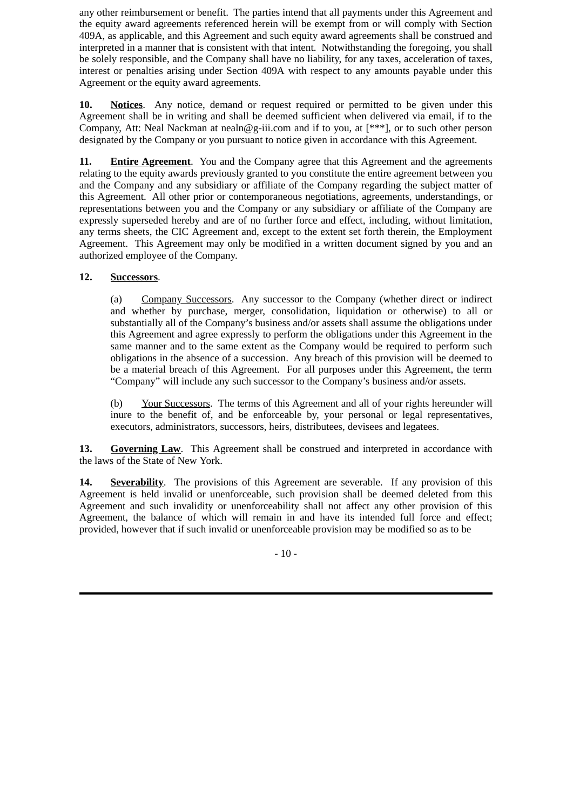any other reimbursement or benefit. The parties intend that all payments under this Agreement and the equity award agreements referenced herein will be exempt from or will comply with Section 409A, as applicable, and this Agreement and such equity award agreements shall be construed and interpreted in a manner that is consistent with that intent. Notwithstanding the foregoing, you shall be solely responsible, and the Company shall have no liability, for any taxes, acceleration of taxes, interest or penalties arising under Section 409A with respect to any amounts payable under this Agreement or the equity award agreements.

**10. Notices**. Any notice, demand or request required or permitted to be given under this Agreement shall be in writing and shall be deemed sufficient when delivered via email, if to the Company, Att: Neal Nackman at nealn@g-iii.com and if to you, at  $[***]$ , or to such other person designated by the Company or you pursuant to notice given in accordance with this Agreement.

**11. Entire Agreement**. You and the Company agree that this Agreement and the agreements relating to the equity awards previously granted to you constitute the entire agreement between you and the Company and any subsidiary or affiliate of the Company regarding the subject matter of this Agreement. All other prior or contemporaneous negotiations, agreements, understandings, or representations between you and the Company or any subsidiary or affiliate of the Company are expressly superseded hereby and are of no further force and effect, including, without limitation, any terms sheets, the CIC Agreement and, except to the extent set forth therein, the Employment Agreement. This Agreement may only be modified in a written document signed by you and an authorized employee of the Company.

# **12. Successors**.

(a) Company Successors. Any successor to the Company (whether direct or indirect and whether by purchase, merger, consolidation, liquidation or otherwise) to all or substantially all of the Company's business and/or assets shall assume the obligations under this Agreement and agree expressly to perform the obligations under this Agreement in the same manner and to the same extent as the Company would be required to perform such obligations in the absence of a succession. Any breach of this provision will be deemed to be a material breach of this Agreement. For all purposes under this Agreement, the term "Company" will include any such successor to the Company's business and/or assets.

(b) Your Successors. The terms of this Agreement and all of your rights hereunder will inure to the benefit of, and be enforceable by, your personal or legal representatives, executors, administrators, successors, heirs, distributees, devisees and legatees.

13. **Governing Law**. This Agreement shall be construed and interpreted in accordance with the laws of the State of New York.

**14. Severability**. The provisions of this Agreement are severable. If any provision of this Agreement is held invalid or unenforceable, such provision shall be deemed deleted from this Agreement and such invalidity or unenforceability shall not affect any other provision of this Agreement, the balance of which will remain in and have its intended full force and effect; provided, however that if such invalid or unenforceable provision may be modified so as to be

- 10 -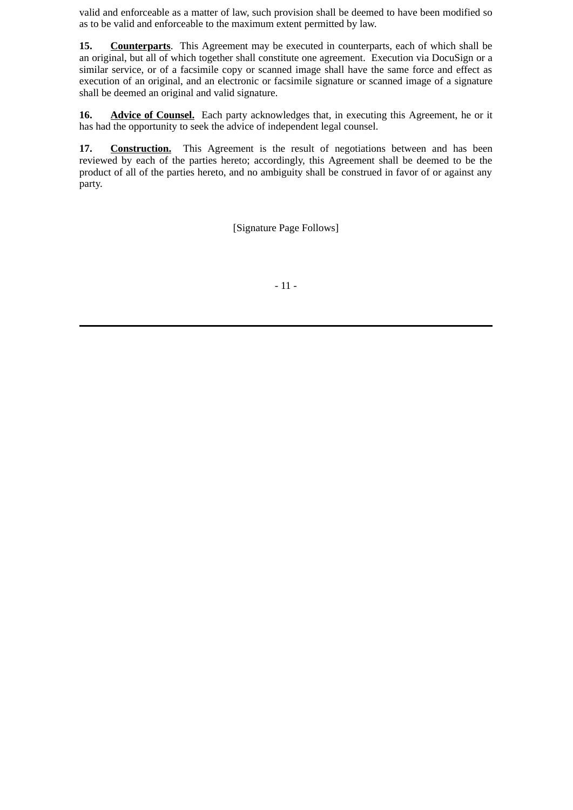valid and enforceable as a matter of law, such provision shall be deemed to have been modified so as to be valid and enforceable to the maximum extent permitted by law.

**15. Counterparts**. This Agreement may be executed in counterparts, each of which shall be an original, but all of which together shall constitute one agreement. Execution via DocuSign or a similar service, or of a facsimile copy or scanned image shall have the same force and effect as execution of an original, and an electronic or facsimile signature or scanned image of a signature shall be deemed an original and valid signature.

16. **Advice of Counsel.** Each party acknowledges that, in executing this Agreement, he or it has had the opportunity to seek the advice of independent legal counsel.

**17. Construction.** This Agreement is the result of negotiations between and has been reviewed by each of the parties hereto; accordingly, this Agreement shall be deemed to be the product of all of the parties hereto, and no ambiguity shall be construed in favor of or against any party.

[Signature Page Follows]

- 11 -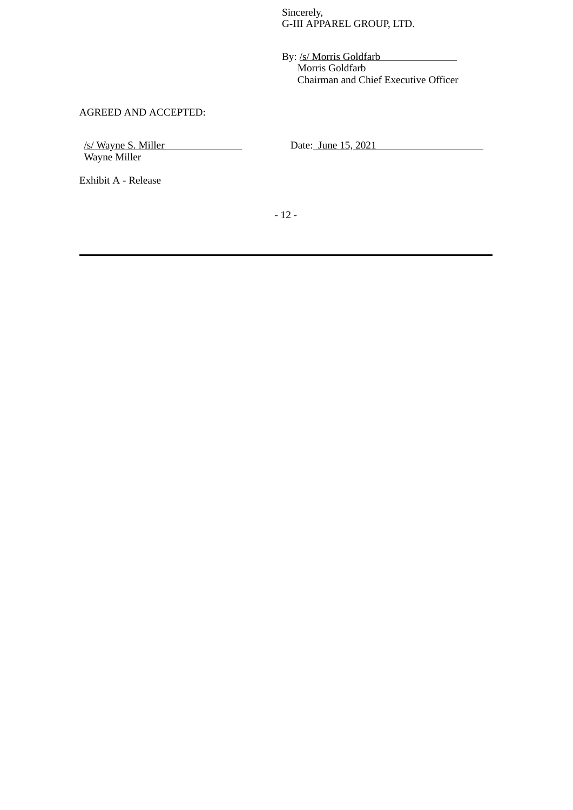Sincerely, G-III APPAREL GROUP, LTD.

By: /s/ Morris Goldfarb Morris Goldfarb Chairman and Chief Executive Officer

# AGREED AND ACCEPTED:

/s/ Wayne S. Miller Wayne Miller

Date: June 15, 2021

Exhibit A - Release

- 12 -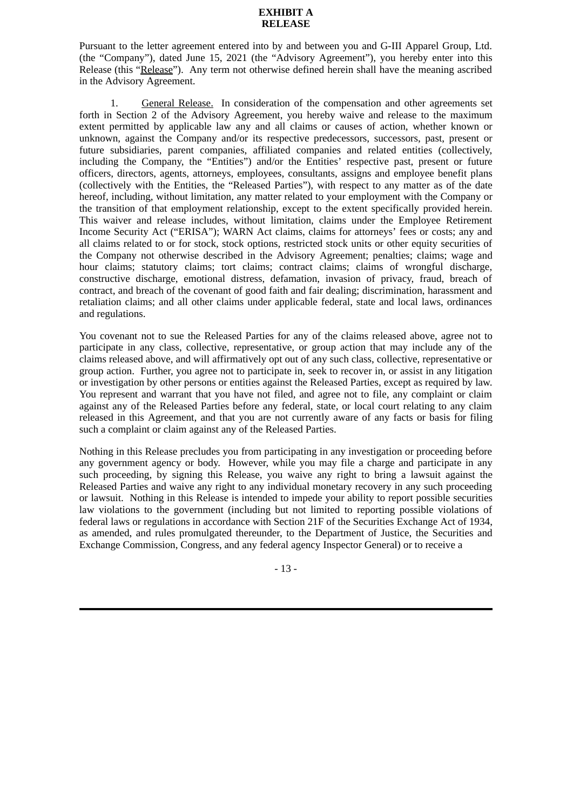## **EXHIBIT A RELEASE**

Pursuant to the letter agreement entered into by and between you and G-III Apparel Group, Ltd. (the "Company"), dated June 15, 2021 (the "Advisory Agreement"), you hereby enter into this Release (this "Release"). Any term not otherwise defined herein shall have the meaning ascribed in the Advisory Agreement.

1. General Release. In consideration of the compensation and other agreements set forth in Section 2 of the Advisory Agreement, you hereby waive and release to the maximum extent permitted by applicable law any and all claims or causes of action, whether known or unknown, against the Company and/or its respective predecessors, successors, past, present or future subsidiaries, parent companies, affiliated companies and related entities (collectively, including the Company, the "Entities") and/or the Entities' respective past, present or future officers, directors, agents, attorneys, employees, consultants, assigns and employee benefit plans (collectively with the Entities, the "Released Parties"), with respect to any matter as of the date hereof, including, without limitation, any matter related to your employment with the Company or the transition of that employment relationship, except to the extent specifically provided herein. This waiver and release includes, without limitation, claims under the Employee Retirement Income Security Act ("ERISA"); WARN Act claims, claims for attorneys' fees or costs; any and all claims related to or for stock, stock options, restricted stock units or other equity securities of the Company not otherwise described in the Advisory Agreement; penalties; claims; wage and hour claims; statutory claims; tort claims; contract claims; claims of wrongful discharge, constructive discharge, emotional distress, defamation, invasion of privacy, fraud, breach of contract, and breach of the covenant of good faith and fair dealing; discrimination, harassment and retaliation claims; and all other claims under applicable federal, state and local laws, ordinances and regulations.

You covenant not to sue the Released Parties for any of the claims released above, agree not to participate in any class, collective, representative, or group action that may include any of the claims released above, and will affirmatively opt out of any such class, collective, representative or group action. Further, you agree not to participate in, seek to recover in, or assist in any litigation or investigation by other persons or entities against the Released Parties, except as required by law. You represent and warrant that you have not filed, and agree not to file, any complaint or claim against any of the Released Parties before any federal, state, or local court relating to any claim released in this Agreement, and that you are not currently aware of any facts or basis for filing such a complaint or claim against any of the Released Parties.

Nothing in this Release precludes you from participating in any investigation or proceeding before any government agency or body. However, while you may file a charge and participate in any such proceeding, by signing this Release, you waive any right to bring a lawsuit against the Released Parties and waive any right to any individual monetary recovery in any such proceeding or lawsuit. Nothing in this Release is intended to impede your ability to report possible securities law violations to the government (including but not limited to reporting possible violations of federal laws or regulations in accordance with Section 21F of the Securities Exchange Act of 1934, as amended, and rules promulgated thereunder, to the Department of Justice, the Securities and Exchange Commission, Congress, and any federal agency Inspector General) or to receive a

- 13 -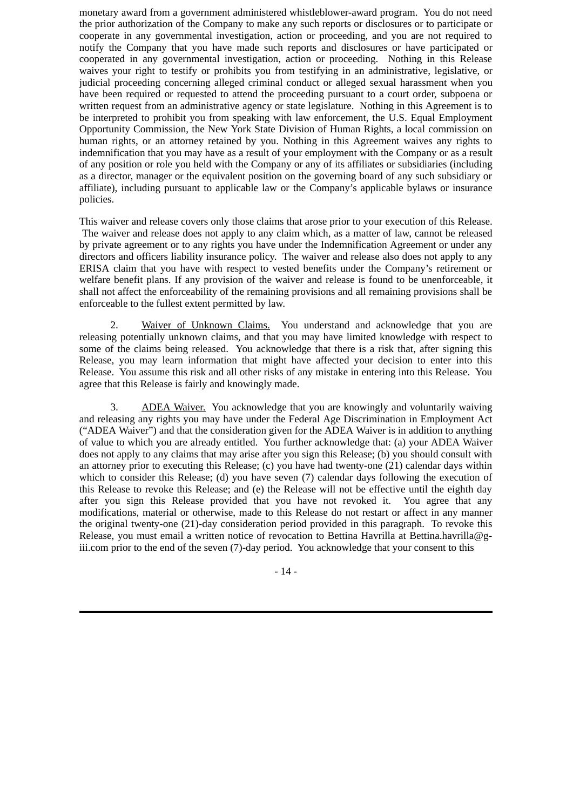monetary award from a government administered whistleblower-award program. You do not need the prior authorization of the Company to make any such reports or disclosures or to participate or cooperate in any governmental investigation, action or proceeding, and you are not required to notify the Company that you have made such reports and disclosures or have participated or cooperated in any governmental investigation, action or proceeding. Nothing in this Release waives your right to testify or prohibits you from testifying in an administrative, legislative, or judicial proceeding concerning alleged criminal conduct or alleged sexual harassment when you have been required or requested to attend the proceeding pursuant to a court order, subpoena or written request from an administrative agency or state legislature. Nothing in this Agreement is to be interpreted to prohibit you from speaking with law enforcement, the U.S. Equal Employment Opportunity Commission, the New York State Division of Human Rights, a local commission on human rights, or an attorney retained by you. Nothing in this Agreement waives any rights to indemnification that you may have as a result of your employment with the Company or as a result of any position or role you held with the Company or any of its affiliates or subsidiaries (including as a director, manager or the equivalent position on the governing board of any such subsidiary or affiliate), including pursuant to applicable law or the Company's applicable bylaws or insurance policies.

This waiver and release covers only those claims that arose prior to your execution of this Release. The waiver and release does not apply to any claim which, as a matter of law, cannot be released by private agreement or to any rights you have under the Indemnification Agreement or under any directors and officers liability insurance policy. The waiver and release also does not apply to any ERISA claim that you have with respect to vested benefits under the Company's retirement or welfare benefit plans. If any provision of the waiver and release is found to be unenforceable, it shall not affect the enforceability of the remaining provisions and all remaining provisions shall be enforceable to the fullest extent permitted by law.

2. Waiver of Unknown Claims. You understand and acknowledge that you are releasing potentially unknown claims, and that you may have limited knowledge with respect to some of the claims being released. You acknowledge that there is a risk that, after signing this Release, you may learn information that might have affected your decision to enter into this Release. You assume this risk and all other risks of any mistake in entering into this Release. You agree that this Release is fairly and knowingly made.

3. ADEA Waiver. You acknowledge that you are knowingly and voluntarily waiving and releasing any rights you may have under the Federal Age Discrimination in Employment Act ("ADEA Waiver") and that the consideration given for the ADEA Waiver is in addition to anything of value to which you are already entitled. You further acknowledge that: (a) your ADEA Waiver does not apply to any claims that may arise after you sign this Release; (b) you should consult with an attorney prior to executing this Release; (c) you have had twenty-one (21) calendar days within which to consider this Release; (d) you have seven (7) calendar days following the execution of this Release to revoke this Release; and (e) the Release will not be effective until the eighth day after you sign this Release provided that you have not revoked it. You agree that any modifications, material or otherwise, made to this Release do not restart or affect in any manner the original twenty-one (21)-day consideration period provided in this paragraph. To revoke this Release, you must email a written notice of revocation to Bettina Havrilla at Bettina.havrilla@giii.com prior to the end of the seven (7)-day period. You acknowledge that your consent to this

- 14 -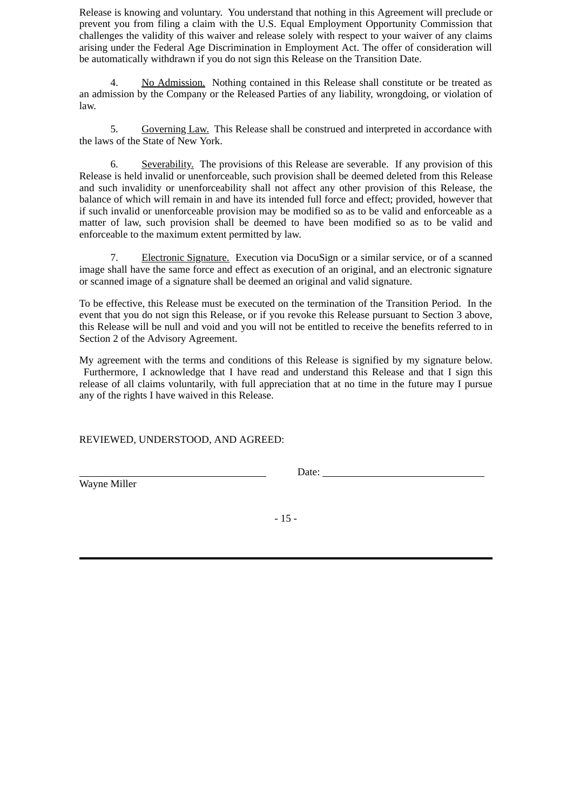Release is knowing and voluntary. You understand that nothing in this Agreement will preclude or prevent you from filing a claim with the U.S. Equal Employment Opportunity Commission that challenges the validity of this waiver and release solely with respect to your waiver of any claims arising under the Federal Age Discrimination in Employment Act. The offer of consideration will be automatically withdrawn if you do not sign this Release on the Transition Date.

4. No Admission. Nothing contained in this Release shall constitute or be treated as an admission by the Company or the Released Parties of any liability, wrongdoing, or violation of law.

5. Governing Law. This Release shall be construed and interpreted in accordance with the laws of the State of New York.

6. Severability. The provisions of this Release are severable. If any provision of this Release is held invalid or unenforceable, such provision shall be deemed deleted from this Release and such invalidity or unenforceability shall not affect any other provision of this Release, the balance of which will remain in and have its intended full force and effect; provided, however that if such invalid or unenforceable provision may be modified so as to be valid and enforceable as a matter of law, such provision shall be deemed to have been modified so as to be valid and enforceable to the maximum extent permitted by law.

7. Electronic Signature. Execution via DocuSign or a similar service, or of a scanned image shall have the same force and effect as execution of an original, and an electronic signature or scanned image of a signature shall be deemed an original and valid signature.

To be effective, this Release must be executed on the termination of the Transition Period. In the event that you do not sign this Release, or if you revoke this Release pursuant to Section 3 above, this Release will be null and void and you will not be entitled to receive the benefits referred to in Section 2 of the Advisory Agreement.

My agreement with the terms and conditions of this Release is signified by my signature below. Furthermore, I acknowledge that I have read and understand this Release and that I sign this release of all claims voluntarily, with full appreciation that at no time in the future may I pursue any of the rights I have waived in this Release.

REVIEWED, UNDERSTOOD, AND AGREED:

Wayne Miller

Date:

- 15 -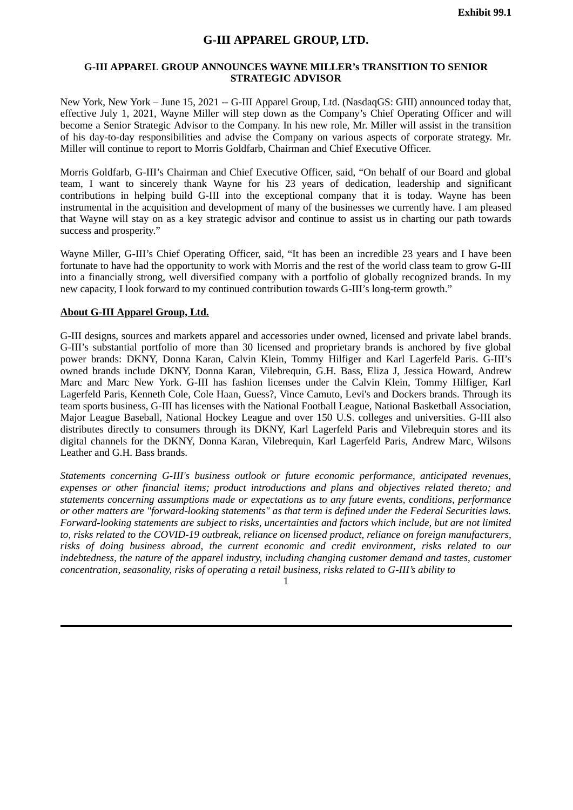# **G-III APPAREL GROUP, LTD.**

## <span id="page-20-0"></span>**G-III APPAREL GROUP ANNOUNCES WAYNE MILLER's TRANSITION TO SENIOR STRATEGIC ADVISOR**

New York, New York – June 15, 2021 -- G-III Apparel Group, Ltd. (NasdaqGS: GIII) announced today that, effective July 1, 2021, Wayne Miller will step down as the Company's Chief Operating Officer and will become a Senior Strategic Advisor to the Company. In his new role, Mr. Miller will assist in the transition of his day-to-day responsibilities and advise the Company on various aspects of corporate strategy. Mr. Miller will continue to report to Morris Goldfarb, Chairman and Chief Executive Officer.

Morris Goldfarb, G-III's Chairman and Chief Executive Officer, said, "On behalf of our Board and global team, I want to sincerely thank Wayne for his 23 years of dedication, leadership and significant contributions in helping build G-III into the exceptional company that it is today. Wayne has been instrumental in the acquisition and development of many of the businesses we currently have. I am pleased that Wayne will stay on as a key strategic advisor and continue to assist us in charting our path towards success and prosperity."

Wayne Miller, G-III's Chief Operating Officer, said, "It has been an incredible 23 years and I have been fortunate to have had the opportunity to work with Morris and the rest of the world class team to grow G-III into a financially strong, well diversified company with a portfolio of globally recognized brands. In my new capacity, I look forward to my continued contribution towards G-III's long-term growth."

## **About G-III Apparel Group, Ltd.**

G-III designs, sources and markets apparel and accessories under owned, licensed and private label brands. G-III's substantial portfolio of more than 30 licensed and proprietary brands is anchored by five global power brands: DKNY, Donna Karan, Calvin Klein, Tommy Hilfiger and Karl Lagerfeld Paris. G-III's owned brands include DKNY, Donna Karan, Vilebrequin, G.H. Bass, Eliza J, Jessica Howard, Andrew Marc and Marc New York. G-III has fashion licenses under the Calvin Klein, Tommy Hilfiger, Karl Lagerfeld Paris, Kenneth Cole, Cole Haan, Guess?, Vince Camuto, Levi's and Dockers brands. Through its team sports business, G-III has licenses with the National Football League, National Basketball Association, Major League Baseball, National Hockey League and over 150 U.S. colleges and universities. G-III also distributes directly to consumers through its DKNY, Karl Lagerfeld Paris and Vilebrequin stores and its digital channels for the DKNY, Donna Karan, Vilebrequin, Karl Lagerfeld Paris, Andrew Marc, Wilsons Leather and G.H. Bass brands.

*Statements concerning G-III's business outlook or future economic performance, anticipated revenues, expenses or other financial items; product introductions and plans and objectives related thereto; and statements concerning assumptions made or expectations as to any future events, conditions, performance or other matters are "forward-looking statements" as that term is defined under the Federal Securities laws. Forward-looking statements are subject to risks, uncertainties and factors which include, but are not limited to, risks related to the COVID-19 outbreak, reliance on licensed product, reliance on foreign manufacturers, risks of doing business abroad, the current economic and credit environment, risks related to our indebtedness, the nature of the apparel industry, including changing customer demand and tastes, customer concentration, seasonality, risks of operating a retail business, risks related to G-III's ability to*

1